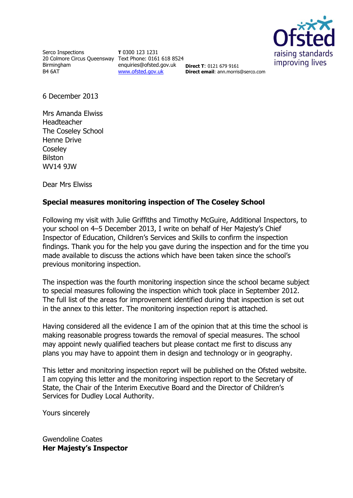

Serco Inspections 20 Colmore Circus Queensway Text Phone: 0161 618 8524 Birmingham B4 6AT

**T** 0300 123 1231 enquiries@ofsted.gov.uk [www.ofsted.gov.uk](http://www.ofsted.gov.uk/)

**Direct T**: 0121 679 9161 **Direct email:** ann.morris@serco.com

6 December 2013

Mrs Amanda Elwiss Headteacher The Coseley School Henne Drive **Coseley** Bilston WV14 9JW

Dear Mrs Elwiss

# **Special measures monitoring inspection of The Coseley School**

Following my visit with Julie Griffiths and Timothy McGuire, Additional Inspectors, to your school on 4–5 December 2013, I write on behalf of Her Majesty's Chief Inspector of Education, Children's Services and Skills to confirm the inspection findings. Thank you for the help you gave during the inspection and for the time you made available to discuss the actions which have been taken since the school's previous monitoring inspection.

The inspection was the fourth monitoring inspection since the school became subject to special measures following the inspection which took place in September 2012. The full list of the areas for improvement identified during that inspection is set out in the annex to this letter. The monitoring inspection report is attached.

Having considered all the evidence I am of the opinion that at this time the school is making reasonable progress towards the removal of special measures. The school may appoint newly qualified teachers but please contact me first to discuss any plans you may have to appoint them in design and technology or in geography.

This letter and monitoring inspection report will be published on the Ofsted website. I am copying this letter and the monitoring inspection report to the Secretary of State, the Chair of the Interim Executive Board and the Director of Children's Services for Dudley Local Authority.

Yours sincerely

Gwendoline Coates **Her Majesty's Inspector**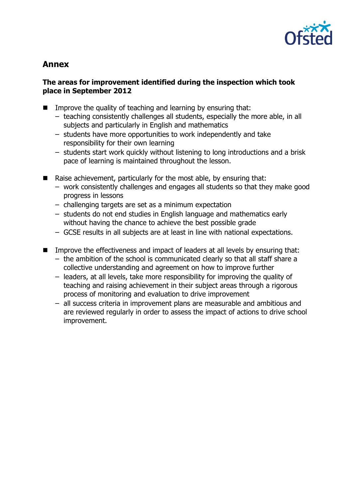

# **Annex**

## **The areas for improvement identified during the inspection which took place in September 2012**

- Improve the quality of teaching and learning by ensuring that:
	- teaching consistently challenges all students, especially the more able, in all subjects and particularly in English and mathematics
	- students have more opportunities to work independently and take responsibility for their own learning
	- students start work quickly without listening to long introductions and a brisk pace of learning is maintained throughout the lesson.
- Raise achievement, particularly for the most able, by ensuring that:
	- work consistently challenges and engages all students so that they make good progress in lessons
	- challenging targets are set as a minimum expectation
	- students do not end studies in English language and mathematics early without having the chance to achieve the best possible grade
	- GCSE results in all subjects are at least in line with national expectations.
- Improve the effectiveness and impact of leaders at all levels by ensuring that: – the ambition of the school is communicated clearly so that all staff share a collective understanding and agreement on how to improve further
	- leaders, at all levels, take more responsibility for improving the quality of teaching and raising achievement in their subject areas through a rigorous process of monitoring and evaluation to drive improvement
	- all success criteria in improvement plans are measurable and ambitious and are reviewed regularly in order to assess the impact of actions to drive school improvement.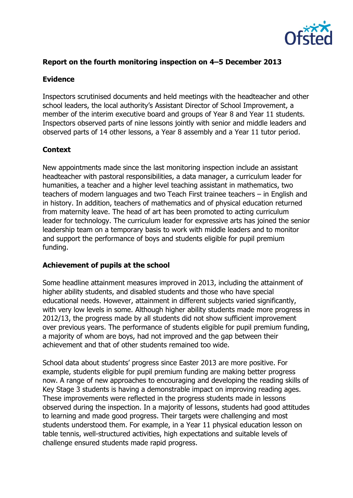

## **Report on the fourth monitoring inspection on 4–5 December 2013**

#### **Evidence**

Inspectors scrutinised documents and held meetings with the headteacher and other school leaders, the local authority's Assistant Director of School Improvement, a member of the interim executive board and groups of Year 8 and Year 11 students. Inspectors observed parts of nine lessons jointly with senior and middle leaders and observed parts of 14 other lessons, a Year 8 assembly and a Year 11 tutor period.

#### **Context**

New appointments made since the last monitoring inspection include an assistant headteacher with pastoral responsibilities, a data manager, a curriculum leader for humanities, a teacher and a higher level teaching assistant in mathematics, two teachers of modern languages and two Teach First trainee teachers – in English and in history. In addition, teachers of mathematics and of physical education returned from maternity leave. The head of art has been promoted to acting curriculum leader for technology. The curriculum leader for expressive arts has joined the senior leadership team on a temporary basis to work with middle leaders and to monitor and support the performance of boys and students eligible for pupil premium funding.

#### **Achievement of pupils at the school**

Some headline attainment measures improved in 2013, including the attainment of higher ability students, and disabled students and those who have special educational needs. However, attainment in different subjects varied significantly, with very low levels in some. Although higher ability students made more progress in 2012/13, the progress made by all students did not show sufficient improvement over previous years. The performance of students eligible for pupil premium funding, a majority of whom are boys, had not improved and the gap between their achievement and that of other students remained too wide.

School data about students' progress since Easter 2013 are more positive. For example, students eligible for pupil premium funding are making better progress now. A range of new approaches to encouraging and developing the reading skills of Key Stage 3 students is having a demonstrable impact on improving reading ages. These improvements were reflected in the progress students made in lessons observed during the inspection. In a majority of lessons, students had good attitudes to learning and made good progress. Their targets were challenging and most students understood them. For example, in a Year 11 physical education lesson on table tennis, well-structured activities, high expectations and suitable levels of challenge ensured students made rapid progress.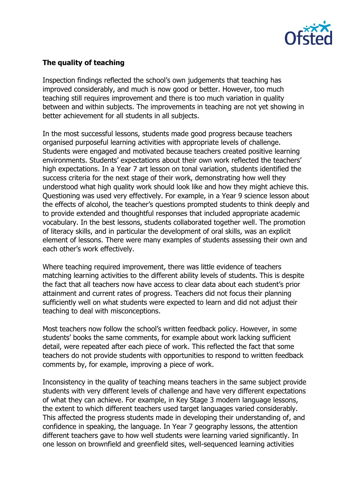

# **The quality of teaching**

Inspection findings reflected the school's own judgements that teaching has improved considerably, and much is now good or better. However, too much teaching still requires improvement and there is too much variation in quality between and within subjects. The improvements in teaching are not yet showing in better achievement for all students in all subjects.

In the most successful lessons, students made good progress because teachers organised purposeful learning activities with appropriate levels of challenge. Students were engaged and motivated because teachers created positive learning environments. Students' expectations about their own work reflected the teachers' high expectations. In a Year 7 art lesson on tonal variation, students identified the success criteria for the next stage of their work, demonstrating how well they understood what high quality work should look like and how they might achieve this. Questioning was used very effectively. For example, in a Year 9 science lesson about the effects of alcohol, the teacher's questions prompted students to think deeply and to provide extended and thoughtful responses that included appropriate academic vocabulary. In the best lessons, students collaborated together well. The promotion of literacy skills, and in particular the development of oral skills, was an explicit element of lessons. There were many examples of students assessing their own and each other's work effectively.

Where teaching required improvement, there was little evidence of teachers matching learning activities to the different ability levels of students. This is despite the fact that all teachers now have access to clear data about each student's prior attainment and current rates of progress. Teachers did not focus their planning sufficiently well on what students were expected to learn and did not adjust their teaching to deal with misconceptions.

Most teachers now follow the school's written feedback policy. However, in some students' books the same comments, for example about work lacking sufficient detail, were repeated after each piece of work. This reflected the fact that some teachers do not provide students with opportunities to respond to written feedback comments by, for example, improving a piece of work.

Inconsistency in the quality of teaching means teachers in the same subject provide students with very different levels of challenge and have very different expectations of what they can achieve. For example, in Key Stage 3 modern language lessons, the extent to which different teachers used target languages varied considerably. This affected the progress students made in developing their understanding of, and confidence in speaking, the language. In Year 7 geography lessons, the attention different teachers gave to how well students were learning varied significantly. In one lesson on brownfield and greenfield sites, well-sequenced learning activities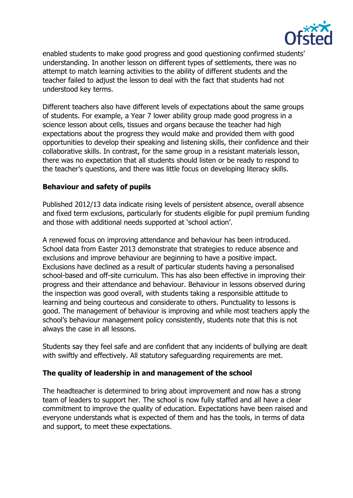

enabled students to make good progress and good questioning confirmed students' understanding. In another lesson on different types of settlements, there was no attempt to match learning activities to the ability of different students and the teacher failed to adjust the lesson to deal with the fact that students had not understood key terms.

Different teachers also have different levels of expectations about the same groups of students. For example, a Year 7 lower ability group made good progress in a science lesson about cells, tissues and organs because the teacher had high expectations about the progress they would make and provided them with good opportunities to develop their speaking and listening skills, their confidence and their collaborative skills. In contrast, for the same group in a resistant materials lesson, there was no expectation that all students should listen or be ready to respond to the teacher's questions, and there was little focus on developing literacy skills.

#### **Behaviour and safety of pupils**

Published 2012/13 data indicate rising levels of persistent absence, overall absence and fixed term exclusions, particularly for students eligible for pupil premium funding and those with additional needs supported at 'school action'.

A renewed focus on improving attendance and behaviour has been introduced. School data from Easter 2013 demonstrate that strategies to reduce absence and exclusions and improve behaviour are beginning to have a positive impact. Exclusions have declined as a result of particular students having a personalised school-based and off-site curriculum. This has also been effective in improving their progress and their attendance and behaviour. Behaviour in lessons observed during the inspection was good overall, with students taking a responsible attitude to learning and being courteous and considerate to others. Punctuality to lessons is good. The management of behaviour is improving and while most teachers apply the school's behaviour management policy consistently, students note that this is not always the case in all lessons.

Students say they feel safe and are confident that any incidents of bullying are dealt with swiftly and effectively. All statutory safeguarding requirements are met.

#### **The quality of leadership in and management of the school**

The headteacher is determined to bring about improvement and now has a strong team of leaders to support her. The school is now fully staffed and all have a clear commitment to improve the quality of education. Expectations have been raised and everyone understands what is expected of them and has the tools, in terms of data and support, to meet these expectations.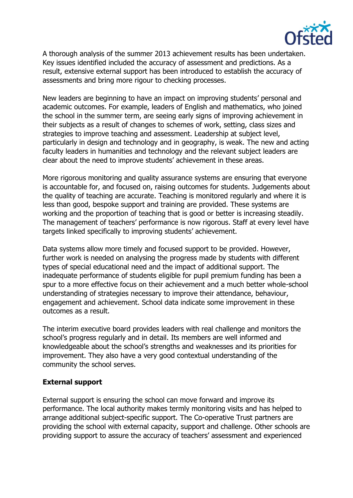

A thorough analysis of the summer 2013 achievement results has been undertaken. Key issues identified included the accuracy of assessment and predictions. As a result, extensive external support has been introduced to establish the accuracy of assessments and bring more rigour to checking processes.

New leaders are beginning to have an impact on improving students' personal and academic outcomes. For example, leaders of English and mathematics, who joined the school in the summer term, are seeing early signs of improving achievement in their subjects as a result of changes to schemes of work, setting, class sizes and strategies to improve teaching and assessment. Leadership at subject level, particularly in design and technology and in geography, is weak. The new and acting faculty leaders in humanities and technology and the relevant subject leaders are clear about the need to improve students' achievement in these areas.

More rigorous monitoring and quality assurance systems are ensuring that everyone is accountable for, and focused on, raising outcomes for students. Judgements about the quality of teaching are accurate. Teaching is monitored regularly and where it is less than good, bespoke support and training are provided. These systems are working and the proportion of teaching that is good or better is increasing steadily. The management of teachers' performance is now rigorous. Staff at every level have targets linked specifically to improving students' achievement.

Data systems allow more timely and focused support to be provided. However, further work is needed on analysing the progress made by students with different types of special educational need and the impact of additional support. The inadequate performance of students eligible for pupil premium funding has been a spur to a more effective focus on their achievement and a much better whole-school understanding of strategies necessary to improve their attendance, behaviour, engagement and achievement. School data indicate some improvement in these outcomes as a result.

The interim executive board provides leaders with real challenge and monitors the school's progress regularly and in detail. Its members are well informed and knowledgeable about the school's strengths and weaknesses and its priorities for improvement. They also have a very good contextual understanding of the community the school serves.

#### **External support**

External support is ensuring the school can move forward and improve its performance. The local authority makes termly monitoring visits and has helped to arrange additional subject-specific support. The Co-operative Trust partners are providing the school with external capacity, support and challenge. Other schools are providing support to assure the accuracy of teachers' assessment and experienced